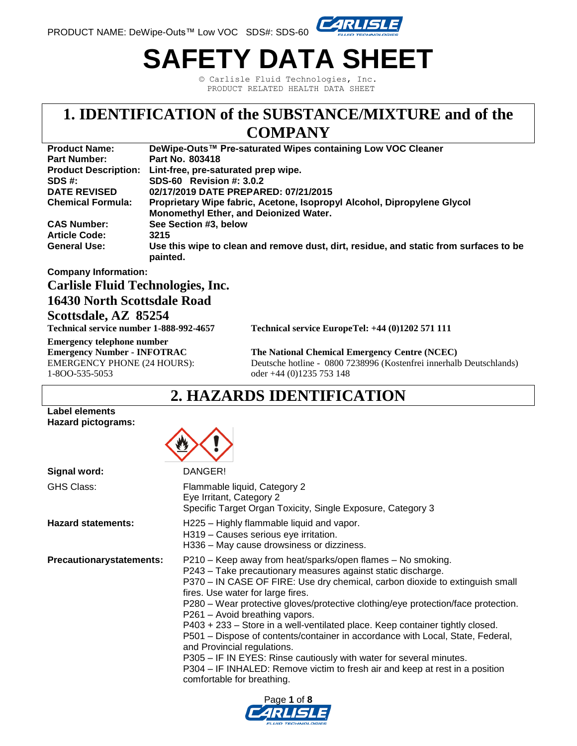

# **SAFETY DATA SHEET**

© Carlisle Fluid Technologies, Inc. PRODUCT RELATED HEALTH DATA SHEET

### **1. IDENTIFICATION of the SUBSTANCE/MIXTURE and of the COMPANY**

#### **Product Name: DeWipe-Outs™ Pre-saturated Wipes containing Low VOC Cleaner Part Number: Part No. 803418 Product Description: Lint-free, pre-saturated prep wipe. SDS #: SDS-60 Revision #: 3.0.2 DATE REVISED 02/17/2019 DATE PREPARED: 07/21/2015 Chemical Formula: Proprietary Wipe fabric, Acetone, Isopropyl Alcohol, Dipropylene Glycol Monomethyl Ether, and Deionized Water. CAS Number: See Section #3, below Article Code: 3215 General Use: Use this wipe to clean and remove dust, dirt, residue, and static from surfaces to be painted.**

#### **Company Information:**

#### **Carlisle Fluid Technologies, Inc.**

#### **16430 North Scottsdale Road**

#### **Scottsdale, AZ 85254**

**Emergency telephone number** 1-8OO-535-5053 oder +44 (0)1235 753 148

**Technical service number 1-888-992-4657 Technical service EuropeTel: +44 (0)1202 571 111** 

**Emergency Number - INFOTRAC The National Chemical Emergency Centre (NCEC)** EMERGENCY PHONE (24 HOURS): Deutsche hotline - 0800 7238996 (Kostenfrei innerhalb Deutschlands)

### **2. HAZARDS IDENTIFICATION**

#### **Label elements Hazard pictograms:**



| Signal word:                    | DANGER!                                                                                                                                                                                                                                                                                                                                                                                                                                                                                                                                                                                                                                                                                                                                                        |
|---------------------------------|----------------------------------------------------------------------------------------------------------------------------------------------------------------------------------------------------------------------------------------------------------------------------------------------------------------------------------------------------------------------------------------------------------------------------------------------------------------------------------------------------------------------------------------------------------------------------------------------------------------------------------------------------------------------------------------------------------------------------------------------------------------|
| GHS Class:                      | Flammable liquid, Category 2<br>Eye Irritant, Category 2<br>Specific Target Organ Toxicity, Single Exposure, Category 3                                                                                                                                                                                                                                                                                                                                                                                                                                                                                                                                                                                                                                        |
| <b>Hazard statements:</b>       | H225 - Highly flammable liquid and vapor.<br>H319 - Causes serious eye irritation.<br>H336 – May cause drowsiness or dizziness.                                                                                                                                                                                                                                                                                                                                                                                                                                                                                                                                                                                                                                |
| <b>Precautionarystatements:</b> | P210 – Keep away from heat/sparks/open flames – No smoking.<br>P243 - Take precautionary measures against static discharge.<br>P370 – IN CASE OF FIRE: Use dry chemical, carbon dioxide to extinguish small<br>fires. Use water for large fires.<br>P280 - Wear protective gloves/protective clothing/eye protection/face protection.<br>P261 - Avoid breathing vapors.<br>P403 + 233 - Store in a well-ventilated place. Keep container tightly closed.<br>P501 - Dispose of contents/container in accordance with Local, State, Federal,<br>and Provincial regulations.<br>P305 - IF IN EYES: Rinse cautiously with water for several minutes.<br>P304 – IF INHALED: Remove victim to fresh air and keep at rest in a position<br>comfortable for breathing. |

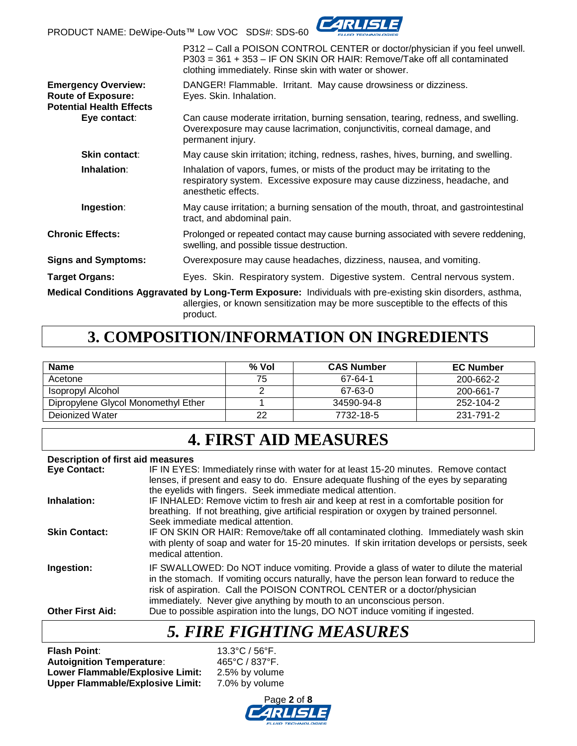PRODUCT NAME: DeWipe-Outs™ Low VOC SDS#: SDS-60



|                                                                                            | P312 – Call a POISON CONTROL CENTER or doctor/physician if you feel unwell.<br>P303 = 361 + 353 - IF ON SKIN OR HAIR: Remove/Take off all contaminated<br>clothing immediately. Rinse skin with water or shower. |
|--------------------------------------------------------------------------------------------|------------------------------------------------------------------------------------------------------------------------------------------------------------------------------------------------------------------|
| <b>Emergency Overview:</b><br><b>Route of Exposure:</b><br><b>Potential Health Effects</b> | DANGER! Flammable. Irritant. May cause drowsiness or dizziness.<br>Eyes. Skin. Inhalation.                                                                                                                       |
| Eye contact:                                                                               | Can cause moderate irritation, burning sensation, tearing, redness, and swelling.<br>Overexposure may cause lacrimation, conjunctivitis, corneal damage, and<br>permanent injury.                                |
| <b>Skin contact:</b>                                                                       | May cause skin irritation; itching, redness, rashes, hives, burning, and swelling.                                                                                                                               |
| Inhalation:                                                                                | Inhalation of vapors, fumes, or mists of the product may be irritating to the<br>respiratory system. Excessive exposure may cause dizziness, headache, and<br>anesthetic effects.                                |
| Ingestion:                                                                                 | May cause irritation; a burning sensation of the mouth, throat, and gastrointestinal<br>tract, and abdominal pain.                                                                                               |
| <b>Chronic Effects:</b>                                                                    | Prolonged or repeated contact may cause burning associated with severe reddening,<br>swelling, and possible tissue destruction.                                                                                  |
| <b>Signs and Symptoms:</b>                                                                 | Overexposure may cause headaches, dizziness, nausea, and vomiting.                                                                                                                                               |
| <b>Target Organs:</b>                                                                      | Eyes. Skin. Respiratory system. Digestive system. Central nervous system.                                                                                                                                        |
|                                                                                            | Medical Conditions Aggravated by Long-Term Exposure: Individuals with pre-existing skin disorders, asthma,<br>allergies, or known sensitization may be more susceptible to the effects of this                   |

product.

### **3. COMPOSITION/INFORMATION ON INGREDIENTS**

| <b>Name</b>                         | % Vol | <b>CAS Number</b> | <b>EC Number</b> |
|-------------------------------------|-------|-------------------|------------------|
| Acetone                             | 75    | 67-64-1           | 200-662-2        |
| Isopropyl Alcohol                   |       | 67-63-0           | 200-661-7        |
| Dipropylene Glycol Monomethyl Ether |       | 34590-94-8        | 252-104-2        |
| Deionized Water                     | າາ    | 7732-18-5         | 231-791-2        |

## **4. FIRST AID MEASURES**

#### **Description of first aid measures**

| <b>Eye Contact:</b>     | IF IN EYES: Immediately rinse with water for at least 15-20 minutes. Remove contact<br>lenses, if present and easy to do. Ensure adequate flushing of the eyes by separating<br>the eyelids with fingers. Seek immediate medical attention.                                                                                          |
|-------------------------|--------------------------------------------------------------------------------------------------------------------------------------------------------------------------------------------------------------------------------------------------------------------------------------------------------------------------------------|
| Inhalation:             | IF INHALED: Remove victim to fresh air and keep at rest in a comfortable position for<br>breathing. If not breathing, give artificial respiration or oxygen by trained personnel.<br>Seek immediate medical attention.                                                                                                               |
| <b>Skin Contact:</b>    | IF ON SKIN OR HAIR: Remove/take off all contaminated clothing. Immediately wash skin<br>with plenty of soap and water for 15-20 minutes. If skin irritation develops or persists, seek<br>medical attention.                                                                                                                         |
| Ingestion:              | IF SWALLOWED: Do NOT induce vomiting. Provide a glass of water to dilute the material<br>in the stomach. If vomiting occurs naturally, have the person lean forward to reduce the<br>risk of aspiration. Call the POISON CONTROL CENTER or a doctor/physician<br>immediately. Never give anything by mouth to an unconscious person. |
| <b>Other First Aid:</b> | Due to possible aspiration into the lungs, DO NOT induce vomiting if ingested.                                                                                                                                                                                                                                                       |

### *5. FIRE FIGHTING MEASURES*

**Flash Point**: 13.3°C / 56°F. **Autoignition Temperature**: 465°C / 837°F. Lower Flammable/Explosive Limit: 2.5% by volume<br>Upper Flammable/Explosive Limit: 7.0% by volume **Upper Flammable/Explosive Limit:** 

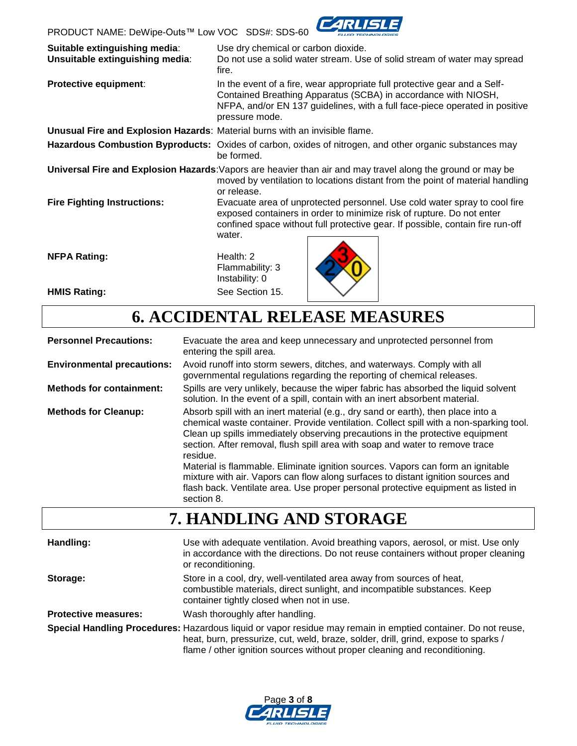

| Suitable extinguishing media:<br>Unsuitable extinguishing media:            | Use dry chemical or carbon dioxide.<br>Do not use a solid water stream. Use of solid stream of water may spread<br>fire.                                                                                                                       |  |  |
|-----------------------------------------------------------------------------|------------------------------------------------------------------------------------------------------------------------------------------------------------------------------------------------------------------------------------------------|--|--|
| <b>Protective equipment:</b>                                                | In the event of a fire, wear appropriate full protective gear and a Self-<br>Contained Breathing Apparatus (SCBA) in accordance with NIOSH,<br>NFPA, and/or EN 137 guidelines, with a full face-piece operated in positive<br>pressure mode.   |  |  |
| Unusual Fire and Explosion Hazards: Material burns with an invisible flame. |                                                                                                                                                                                                                                                |  |  |
|                                                                             | Hazardous Combustion Byproducts: Oxides of carbon, oxides of nitrogen, and other organic substances may<br>be formed.                                                                                                                          |  |  |
|                                                                             | Universal Fire and Explosion Hazards: Vapors are heavier than air and may travel along the ground or may be<br>moved by ventilation to locations distant from the point of material handling<br>or release.                                    |  |  |
| <b>Fire Fighting Instructions:</b>                                          | Evacuate area of unprotected personnel. Use cold water spray to cool fire<br>exposed containers in order to minimize risk of rupture. Do not enter<br>confined space without full protective gear. If possible, contain fire run-off<br>water. |  |  |
| <b>NFPA Rating:</b>                                                         | Health: $2$<br>Flammability: 3<br>Instability: 0                                                                                                                                                                                               |  |  |
| <b>HMIS Rating:</b>                                                         | See Section 15.                                                                                                                                                                                                                                |  |  |

# **6. ACCIDENTAL RELEASE MEASURES**

| <b>Personnel Precautions:</b>     | Evacuate the area and keep unnecessary and unprotected personnel from<br>entering the spill area.                                                                                                                                                                                                                                                                                                                                                                                                                                                                                                                                 |
|-----------------------------------|-----------------------------------------------------------------------------------------------------------------------------------------------------------------------------------------------------------------------------------------------------------------------------------------------------------------------------------------------------------------------------------------------------------------------------------------------------------------------------------------------------------------------------------------------------------------------------------------------------------------------------------|
| <b>Environmental precautions:</b> | Avoid runoff into storm sewers, ditches, and waterways. Comply with all<br>governmental regulations regarding the reporting of chemical releases.                                                                                                                                                                                                                                                                                                                                                                                                                                                                                 |
| <b>Methods for containment:</b>   | Spills are very unlikely, because the wiper fabric has absorbed the liquid solvent<br>solution. In the event of a spill, contain with an inert absorbent material.                                                                                                                                                                                                                                                                                                                                                                                                                                                                |
| <b>Methods for Cleanup:</b>       | Absorb spill with an inert material (e.g., dry sand or earth), then place into a<br>chemical waste container. Provide ventilation. Collect spill with a non-sparking tool.<br>Clean up spills immediately observing precautions in the protective equipment<br>section. After removal, flush spill area with soap and water to remove trace<br>residue.<br>Material is flammable. Eliminate ignition sources. Vapors can form an ignitable<br>mixture with air. Vapors can flow along surfaces to distant ignition sources and<br>flash back. Ventilate area. Use proper personal protective equipment as listed in<br>section 8. |

### **7. HANDLING AND STORAGE**

| Handling:                   | Use with adequate ventilation. Avoid breathing vapors, aerosol, or mist. Use only<br>in accordance with the directions. Do not reuse containers without proper cleaning<br>or reconditioning.                                                                                     |
|-----------------------------|-----------------------------------------------------------------------------------------------------------------------------------------------------------------------------------------------------------------------------------------------------------------------------------|
| Storage:                    | Store in a cool, dry, well-ventilated area away from sources of heat,<br>combustible materials, direct sunlight, and incompatible substances. Keep<br>container tightly closed when not in use.                                                                                   |
| <b>Protective measures:</b> | Wash thoroughly after handling.                                                                                                                                                                                                                                                   |
|                             | Special Handling Procedures: Hazardous liquid or vapor residue may remain in emptied container. Do not reuse,<br>heat, burn, pressurize, cut, weld, braze, solder, drill, grind, expose to sparks /<br>flame / other ignition sources without proper cleaning and reconditioning. |

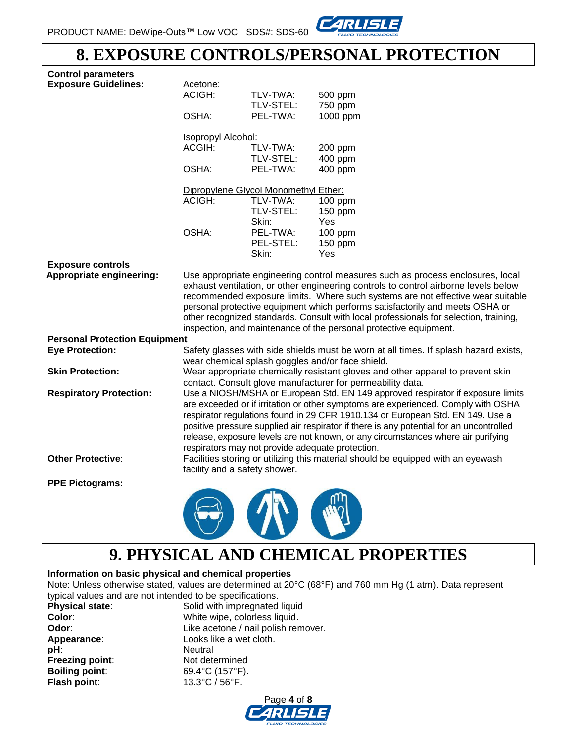

### **8. EXPOSURE CONTROLS/PERSONAL PROTECTION**

| <b>Control parameters</b><br><b>Exposure Guidelines:</b> | Acetone:<br>ACIGH:                                                                                                                           | TLV-TWA:                                         | 500 ppm                                                                                                                                                                                                                                                                                                                                                                                                                               |  |  |
|----------------------------------------------------------|----------------------------------------------------------------------------------------------------------------------------------------------|--------------------------------------------------|---------------------------------------------------------------------------------------------------------------------------------------------------------------------------------------------------------------------------------------------------------------------------------------------------------------------------------------------------------------------------------------------------------------------------------------|--|--|
|                                                          | OSHA:                                                                                                                                        | TLV-STEL:<br>PEL-TWA:                            | 750 ppm<br>1000 ppm                                                                                                                                                                                                                                                                                                                                                                                                                   |  |  |
|                                                          | <b>Isopropyl Alcohol:</b>                                                                                                                    |                                                  |                                                                                                                                                                                                                                                                                                                                                                                                                                       |  |  |
|                                                          | ACGIH:                                                                                                                                       | TLV-TWA:<br>TLV-STEL:                            | 200 ppm<br>400 ppm                                                                                                                                                                                                                                                                                                                                                                                                                    |  |  |
|                                                          | OSHA:                                                                                                                                        | PEL-TWA:                                         | 400 ppm                                                                                                                                                                                                                                                                                                                                                                                                                               |  |  |
|                                                          |                                                                                                                                              | Dipropylene Glycol Monomethyl Ether:             |                                                                                                                                                                                                                                                                                                                                                                                                                                       |  |  |
|                                                          | ACIGH:                                                                                                                                       | TLV-TWA:<br>TLV-STEL:                            | 100 ppm<br>150 ppm<br>Yes                                                                                                                                                                                                                                                                                                                                                                                                             |  |  |
|                                                          | OSHA:                                                                                                                                        | Skin:<br>PEL-TWA:<br>PEL-STEL:<br>Skin:          | 100 ppm<br>150 ppm<br>Yes                                                                                                                                                                                                                                                                                                                                                                                                             |  |  |
| <b>Exposure controls</b>                                 |                                                                                                                                              |                                                  |                                                                                                                                                                                                                                                                                                                                                                                                                                       |  |  |
|                                                          |                                                                                                                                              |                                                  | exhaust ventilation, or other engineering controls to control airborne levels below<br>recommended exposure limits. Where such systems are not effective wear suitable<br>personal protective equipment which performs satisfactorily and meets OSHA or<br>other recognized standards. Consult with local professionals for selection, training,<br>inspection, and maintenance of the personal protective equipment.                 |  |  |
| <b>Personal Protection Equipment</b>                     |                                                                                                                                              |                                                  |                                                                                                                                                                                                                                                                                                                                                                                                                                       |  |  |
| <b>Eye Protection:</b>                                   |                                                                                                                                              |                                                  | Safety glasses with side shields must be worn at all times. If splash hazard exists,<br>wear chemical splash goggles and/or face shield.                                                                                                                                                                                                                                                                                              |  |  |
| <b>Skin Protection:</b>                                  | Wear appropriate chemically resistant gloves and other apparel to prevent skin<br>contact. Consult glove manufacturer for permeability data. |                                                  |                                                                                                                                                                                                                                                                                                                                                                                                                                       |  |  |
| <b>Respiratory Protection:</b>                           |                                                                                                                                              | respirators may not provide adequate protection. | Use a NIOSH/MSHA or European Std. EN 149 approved respirator if exposure limits<br>are exceeded or if irritation or other symptoms are experienced. Comply with OSHA<br>respirator regulations found in 29 CFR 1910.134 or European Std. EN 149. Use a<br>positive pressure supplied air respirator if there is any potential for an uncontrolled<br>release, exposure levels are not known, or any circumstances where air purifying |  |  |
| <b>Other Protective:</b>                                 |                                                                                                                                              | facility and a safety shower.                    | Facilities storing or utilizing this material should be equipped with an eyewash                                                                                                                                                                                                                                                                                                                                                      |  |  |
| <b>PPE Pictograms:</b>                                   |                                                                                                                                              |                                                  |                                                                                                                                                                                                                                                                                                                                                                                                                                       |  |  |
|                                                          |                                                                                                                                              |                                                  |                                                                                                                                                                                                                                                                                                                                                                                                                                       |  |  |

### **9. PHYSICAL AND CHEMICAL PROPERTIES**

#### **Information on basic physical and chemical properties**

Note: Unless otherwise stated, values are determined at 20°C (68°F) and 760 mm Hg (1 atm). Data represent typical values and are not intended to be specifications.

| <b>Physical state:</b> | Solid with impregnated liquid       |
|------------------------|-------------------------------------|
| Color:                 | White wipe, colorless liquid.       |
| Odor:                  | Like acetone / nail polish remover. |
| Appearance:            | Looks like a wet cloth.             |
| pH:                    | Neutral                             |
| Freezing point:        | Not determined                      |
| <b>Boiling point:</b>  | 69.4°C (157°F).                     |
| Flash point:           | 13.3°C / 56°F.                      |

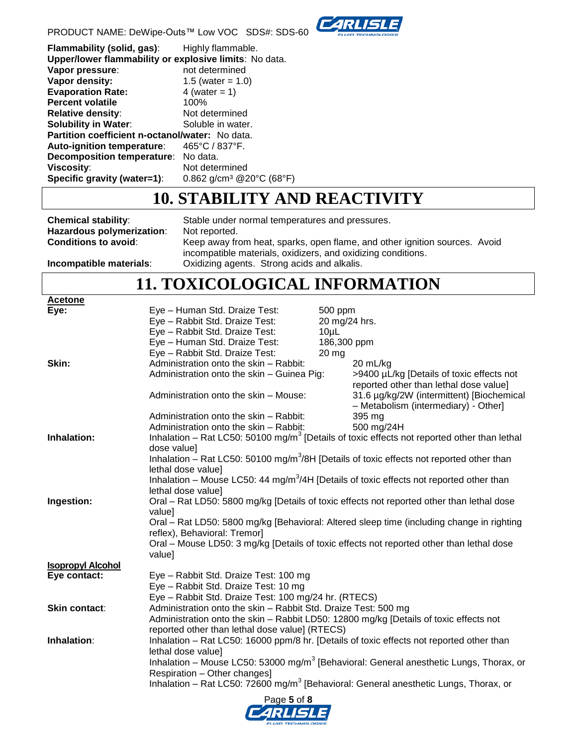



| Flammability (solid, gas):                             | Highly flammable.                    |
|--------------------------------------------------------|--------------------------------------|
| Upper/lower flammability or explosive limits: No data. |                                      |
| Vapor pressure:                                        | not determined                       |
| Vapor density:                                         | 1.5 (water = $1.0$ )                 |
| <b>Evaporation Rate:</b>                               | 4 (water $= 1$ )                     |
| <b>Percent volatile</b>                                | 100%                                 |
| <b>Relative density:</b>                               | Not determined                       |
| <b>Solubility in Water:</b>                            | Soluble in water.                    |
| Partition coefficient n-octanol/water: No data.        |                                      |
| Auto-ignition temperature:                             | 465°C / 837°F.                       |
| <b>Decomposition temperature:</b>                      | No data.                             |
| Viscosity:                                             | Not determined                       |
| Specific gravity (water=1):                            | 0.862 g/cm <sup>3</sup> @20°C (68°F) |

### **10. STABILITY AND REACTIVITY**

**Hazardous polymerization:** Not reported.<br>**Conditions to avoid:** Keep away free

**Chemical stability**: Stable under normal temperatures and pressures. Keep away from heat, sparks, open flame, and other ignition sources. Avoid incompatible materials, oxidizers, and oxidizing conditions.

**Incompatible materials**: Oxidizing agents. Strong acids and alkalis.

### **11. TOXICOLOGICAL INFORMATION**

| <b>Acetone</b>           |                                                                                                      |                 |                                                                                                         |
|--------------------------|------------------------------------------------------------------------------------------------------|-----------------|---------------------------------------------------------------------------------------------------------|
| Eye:                     | Eye - Human Std. Draize Test:                                                                        | 500 ppm         |                                                                                                         |
|                          | Eye - Rabbit Std. Draize Test:                                                                       | 20 mg/24 hrs.   |                                                                                                         |
|                          | Eye - Rabbit Std. Draize Test:                                                                       | 10 <sub>µ</sub> |                                                                                                         |
|                          | Eye - Human Std. Draize Test:                                                                        | 186,300 ppm     |                                                                                                         |
|                          | Eye - Rabbit Std. Draize Test:                                                                       | $20$ mg         |                                                                                                         |
| Skin:                    | Administration onto the skin - Rabbit:                                                               |                 | 20 mL/kg                                                                                                |
|                          | Administration onto the skin - Guinea Pig:                                                           |                 | >9400 µL/kg [Details of toxic effects not                                                               |
|                          |                                                                                                      |                 | reported other than lethal dose value]                                                                  |
|                          | Administration onto the skin - Mouse:                                                                |                 | 31.6 µg/kg/2W (intermittent) [Biochemical                                                               |
|                          |                                                                                                      |                 | - Metabolism (intermediary) - Other]                                                                    |
|                          | Administration onto the skin - Rabbit:                                                               |                 | 395 mg                                                                                                  |
|                          | Administration onto the skin - Rabbit:                                                               |                 | 500 mg/24H                                                                                              |
| Inhalation:              |                                                                                                      |                 | Inhalation – Rat LC50: 50100 mg/m <sup>3</sup> [Details of toxic effects not reported other than lethal |
|                          | dose value]                                                                                          |                 |                                                                                                         |
|                          | Inhalation – Rat LC50: 50100 mg/m <sup>3</sup> /8H [Details of toxic effects not reported other than |                 |                                                                                                         |
|                          | lethal dose value]                                                                                   |                 |                                                                                                         |
|                          | Inhalation – Mouse LC50: 44 mg/m <sup>3</sup> /4H [Details of toxic effects not reported other than  |                 |                                                                                                         |
|                          | lethal dose value]                                                                                   |                 |                                                                                                         |
| Ingestion:               | Oral - Rat LD50: 5800 mg/kg [Details of toxic effects not reported other than lethal dose            |                 |                                                                                                         |
|                          | value]                                                                                               |                 |                                                                                                         |
|                          |                                                                                                      |                 | Oral – Rat LD50: 5800 mg/kg [Behavioral: Altered sleep time (including change in righting               |
|                          | reflex), Behavioral: Tremor]                                                                         |                 |                                                                                                         |
|                          | Oral – Mouse LD50: 3 mg/kg [Details of toxic effects not reported other than lethal dose             |                 |                                                                                                         |
|                          | value]                                                                                               |                 |                                                                                                         |
| <b>Isopropyl Alcohol</b> |                                                                                                      |                 |                                                                                                         |
| Eye contact:             | Eye - Rabbit Std. Draize Test: 100 mg                                                                |                 |                                                                                                         |
|                          | Eye - Rabbit Std. Draize Test: 10 mg                                                                 |                 |                                                                                                         |
|                          | Eye - Rabbit Std. Draize Test: 100 mg/24 hr. (RTECS)                                                 |                 |                                                                                                         |
| Skin contact:            | Administration onto the skin - Rabbit Std. Draize Test: 500 mg                                       |                 |                                                                                                         |
|                          | Administration onto the skin - Rabbit LD50: 12800 mg/kg [Details of toxic effects not                |                 |                                                                                                         |
|                          | reported other than lethal dose value] (RTECS)                                                       |                 |                                                                                                         |
| Inhalation:              | Inhalation - Rat LC50: 16000 ppm/8 hr. [Details of toxic effects not reported other than             |                 |                                                                                                         |
|                          |                                                                                                      |                 |                                                                                                         |
|                          | lethal dose value]                                                                                   |                 |                                                                                                         |
|                          |                                                                                                      |                 | Inhalation – Mouse LC50: 53000 mg/m <sup>3</sup> [Behavioral: General anesthetic Lungs, Thorax, or      |
|                          | Respiration - Other changes]                                                                         |                 |                                                                                                         |
|                          | Inhalation – Rat LC50: 72600 mg/m <sup>3</sup> [Behavioral: General anesthetic Lungs, Thorax, or     |                 |                                                                                                         |
|                          |                                                                                                      |                 |                                                                                                         |

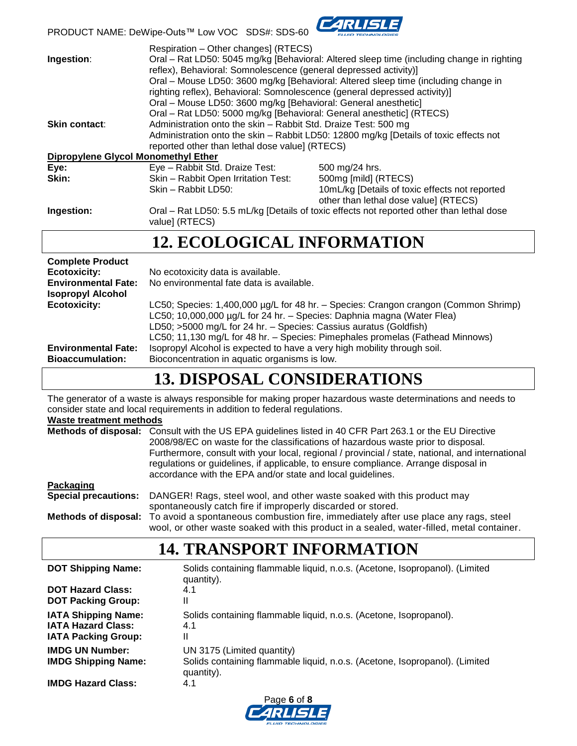

PRODUCT NAME: DeWipe-Outs™ Low VOC SDS#: SDS-60

| Ingestion:                                 | Respiration - Other changes] (RTECS)<br>Oral – Rat LD50: 5045 mg/kg [Behavioral: Altered sleep time (including change in righting<br>reflex), Behavioral: Somnolescence (general depressed activity)]<br>Oral – Mouse LD50: 3600 mg/kg [Behavioral: Altered sleep time (including change in                                                                                    |                                                                        |  |
|--------------------------------------------|--------------------------------------------------------------------------------------------------------------------------------------------------------------------------------------------------------------------------------------------------------------------------------------------------------------------------------------------------------------------------------|------------------------------------------------------------------------|--|
| Skin contact:                              | righting reflex), Behavioral: Somnolescence (general depressed activity)]<br>Oral - Mouse LD50: 3600 mg/kg [Behavioral: General anesthetic]<br>Oral - Rat LD50: 5000 mg/kg [Behavioral: General anesthetic] (RTECS)<br>Administration onto the skin - Rabbit Std. Draize Test: 500 mg<br>Administration onto the skin - Rabbit LD50: 12800 mg/kg [Details of toxic effects not |                                                                        |  |
|                                            | reported other than lethal dose value] (RTECS)                                                                                                                                                                                                                                                                                                                                 |                                                                        |  |
| <b>Dipropylene Glycol Monomethyl Ether</b> |                                                                                                                                                                                                                                                                                                                                                                                |                                                                        |  |
| Eye:<br>Skin:                              | Eye - Rabbit Std. Draize Test:                                                                                                                                                                                                                                                                                                                                                 | 500 mg/24 hrs.                                                         |  |
|                                            | Skin - Rabbit Open Irritation Test:<br>Skin - Rabbit LD50:                                                                                                                                                                                                                                                                                                                     | 500mg [mild] (RTECS)<br>10mL/kg [Details of toxic effects not reported |  |
|                                            |                                                                                                                                                                                                                                                                                                                                                                                | other than lethal dose value] (RTECS)                                  |  |
| Ingestion:                                 | Oral – Rat LD50: 5.5 mL/kg [Details of toxic effects not reported other than lethal dose<br>value] (RTECS)                                                                                                                                                                                                                                                                     |                                                                        |  |
|                                            | <b>12. ECOLOGICAL INFORMATION</b>                                                                                                                                                                                                                                                                                                                                              |                                                                        |  |
| <b>Complete Product</b>                    |                                                                                                                                                                                                                                                                                                                                                                                |                                                                        |  |
| <b>Ecotoxicity:</b>                        | No ecotoxicity data is available.                                                                                                                                                                                                                                                                                                                                              |                                                                        |  |
| <b>Environmental Fate:</b>                 | No environmental fate data is available.                                                                                                                                                                                                                                                                                                                                       |                                                                        |  |
| <b>Isopropyl Alcohol</b>                   |                                                                                                                                                                                                                                                                                                                                                                                |                                                                        |  |
| <b>Ecotoxicity:</b>                        | LC50; Species: 1,400,000 µg/L for 48 hr. - Species: Crangon crangon (Common Shrimp)                                                                                                                                                                                                                                                                                            |                                                                        |  |
|                                            | LC50; 10,000,000 µg/L for 24 hr. - Species: Daphnia magna (Water Flea)                                                                                                                                                                                                                                                                                                         |                                                                        |  |
|                                            | LD50; >5000 mg/L for 24 hr. - Species: Cassius auratus (Goldfish)<br>LC50; 11,130 mg/L for 48 hr. - Species: Pimephales promelas (Fathead Minnows)                                                                                                                                                                                                                             |                                                                        |  |
|                                            |                                                                                                                                                                                                                                                                                                                                                                                |                                                                        |  |

### **13. DISPOSAL CONSIDERATIONS**

The generator of a waste is always responsible for making proper hazardous waste determinations and needs to consider state and local requirements in addition to federal regulations.

**Environmental Fate:** Isopropyl Alcohol is expected to have a very high mobility through soil.

**Bioaccumulation:** Bioconcentration in aquatic organisms is low.

#### **Waste treatment methods**

|                             | Methods of disposal: Consult with the US EPA guidelines listed in 40 CFR Part 263.1 or the EU Directive<br>2008/98/EC on waste for the classifications of hazardous waste prior to disposal.<br>Furthermore, consult with your local, regional / provincial / state, national, and international<br>regulations or guidelines, if applicable, to ensure compliance. Arrange disposal in<br>accordance with the EPA and/or state and local guidelines. |  |  |  |  |  |  |
|-----------------------------|-------------------------------------------------------------------------------------------------------------------------------------------------------------------------------------------------------------------------------------------------------------------------------------------------------------------------------------------------------------------------------------------------------------------------------------------------------|--|--|--|--|--|--|
| Packaging                   |                                                                                                                                                                                                                                                                                                                                                                                                                                                       |  |  |  |  |  |  |
| <b>Special precautions:</b> | DANGER! Rags, steel wool, and other waste soaked with this product may<br>spontaneously catch fire if improperly discarded or stored.                                                                                                                                                                                                                                                                                                                 |  |  |  |  |  |  |
|                             | Methods of disposal: To avoid a spontaneous combustion fire, immediately after use place any rags, steel<br>wool, or other waste soaked with this product in a sealed, water-filled, metal container.                                                                                                                                                                                                                                                 |  |  |  |  |  |  |

### **14. TRANSPORT INFORMATION**

| <b>DOT Shipping Name:</b>                                                             | Solids containing flammable liquid, n.o.s. (Acetone, Isopropanol). (Limited<br>quantity).                               |
|---------------------------------------------------------------------------------------|-------------------------------------------------------------------------------------------------------------------------|
| <b>DOT Hazard Class:</b><br><b>DOT Packing Group:</b>                                 | 4.1<br>Ш                                                                                                                |
| <b>IATA Shipping Name:</b><br><b>IATA Hazard Class:</b><br><b>IATA Packing Group:</b> | Solids containing flammable liquid, n.o.s. (Acetone, Isopropanol).<br>4.1<br>Ш                                          |
| <b>IMDG UN Number:</b><br><b>IMDG Shipping Name:</b>                                  | UN 3175 (Limited quantity)<br>Solids containing flammable liquid, n.o.s. (Acetone, Isopropanol). (Limited<br>quantity). |
| <b>IMDG Hazard Class:</b>                                                             | 4.1                                                                                                                     |

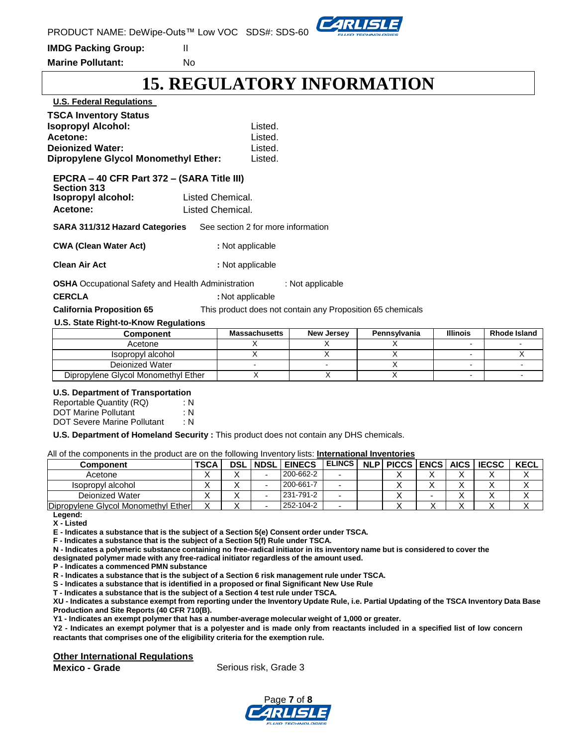

**IMDG Packing Group:** II

**Marine Pollutant:** No

# **15. REGULATORY INFORMATION**

| <b>U.S. Federal Regulations</b>                                                                                                                 |                                      |                                                                                |                   |              |                 |                     |  |  |
|-------------------------------------------------------------------------------------------------------------------------------------------------|--------------------------------------|--------------------------------------------------------------------------------|-------------------|--------------|-----------------|---------------------|--|--|
| <b>TSCA Inventory Status</b><br><b>Isopropyl Alcohol:</b><br>Acetone:<br><b>Dejonized Water:</b><br><b>Dipropylene Glycol Monomethyl Ether:</b> |                                      | Listed.<br>Listed.<br>Listed.<br>Listed.                                       |                   |              |                 |                     |  |  |
| EPCRA - 40 CFR Part 372 - (SARA Title III)<br><b>Section 313</b>                                                                                |                                      |                                                                                |                   |              |                 |                     |  |  |
| Isopropyl alcohol:<br>Acetone:                                                                                                                  | Listed Chemical.<br>Listed Chemical. |                                                                                |                   |              |                 |                     |  |  |
| <b>SARA 311/312 Hazard Categories</b>                                                                                                           |                                      | See section 2 for more information                                             |                   |              |                 |                     |  |  |
| <b>CWA (Clean Water Act)</b>                                                                                                                    |                                      | : Not applicable                                                               |                   |              |                 |                     |  |  |
| <b>Clean Air Act</b>                                                                                                                            |                                      | : Not applicable                                                               |                   |              |                 |                     |  |  |
| <b>OSHA</b> Occupational Safety and Health Administration<br><b>CERCLA</b><br><b>California Proposition 65</b>                                  |                                      | : Not applicable<br>This product does not contain any Proposition 65 chemicals | : Not applicable  |              |                 |                     |  |  |
| U.S. State Right-to-Know Regulations                                                                                                            |                                      |                                                                                |                   |              |                 |                     |  |  |
| <b>Component</b>                                                                                                                                |                                      | <b>Massachusetts</b>                                                           | <b>New Jersey</b> | Pennsylvania | <b>Illinois</b> | <b>Rhode Island</b> |  |  |
| Acetone                                                                                                                                         |                                      | X                                                                              | X                 | X            |                 |                     |  |  |

# Dipropylene Glycol Monomethyl Ether | X | X | X | - | -

| <b>U.S. Department of Transportation</b> |     |  |  |  |  |  |  |
|------------------------------------------|-----|--|--|--|--|--|--|
| Reportable Quantity (RQ)                 | : N |  |  |  |  |  |  |
| <b>DOT Marine Pollutant</b>              | : N |  |  |  |  |  |  |
| <b>DOT Severe Marine Pollutant</b>       | : N |  |  |  |  |  |  |

**U.S. Department of Homeland Security :** This product does not contain any DHS chemicals.

All of the components in the product are on the following Inventory lists: **International Inventories**

| Component                           | <b>TSCA</b> | <b>DSL</b> | <b>INDSL</b> | <b>EINECS</b> | <b>ELINCS</b> | NLP PICCS ENCS AICS |  | <b>IECSC</b> | <b>KECL</b> |
|-------------------------------------|-------------|------------|--------------|---------------|---------------|---------------------|--|--------------|-------------|
| Acetone                             |             |            |              | 200-662-2     |               |                     |  |              |             |
| Isopropyl alcohol                   |             |            |              | 200-661-7     |               |                     |  |              |             |
| Deionized Water                     |             | ↗          |              | 231-791-2     |               |                     |  |              |             |
| Dipropylene Glycol Monomethyl Ether |             |            |              | 252-104-2     |               |                     |  |              |             |

Isopropyl alcohol X X X X X X X Deionized Water - - X - -

**Legend:**

**X - Listed**

**E - Indicates a substance that is the subject of a Section 5(e) Consent order under TSCA.** 

**F - Indicates a substance that is the subject of a Section 5(f) Rule under TSCA.**

**N - Indicates a polymeric substance containing no free-radical initiator in its inventory name but is considered to cover the**

**designated polymer made with any free-radical initiator regardless of the amount used.**

**P - Indicates a commenced PMN substance**

**R - Indicates a substance that is the subject of a Section 6 risk management rule under TSCA.** 

**S - Indicates a substance that is identified in a proposed or final Significant New Use Rule**

**T - Indicates a substance that is the subject of a Section 4 test rule under TSCA.**

XU - Indicates a substance exempt from reporting under the Inventory Update Rule, i.e. Partial Updating of the TSCA Inventory Data Base **Production and Site Reports (40 CFR 710(B).**

**Y1 - Indicates an exempt polymer that has a number-average molecular weight of 1,000 or greater.**

Y2 - Indicates an exempt polymer that is a polyester and is made only from reactants included in a specified list of low concern **reactants that comprises one of the eligibility criteria for the exemption rule.**

#### **Other International Regulations**

**Mexico - Grade Serious risk, Grade 3**